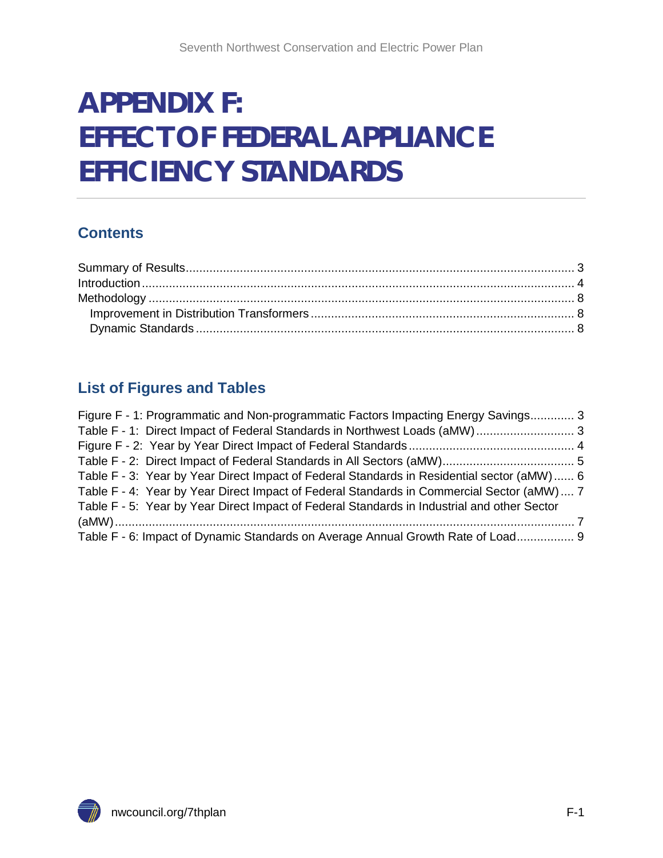# **APPENDIX F: EFFECT OF FEDERAL APPLIANCE EFFICIENCY STANDARDS**

#### **Contents**

#### **List of Figures and Tables**

| Figure F - 1: Programmatic and Non-programmatic Factors Impacting Energy Savings 3          |  |
|---------------------------------------------------------------------------------------------|--|
|                                                                                             |  |
|                                                                                             |  |
|                                                                                             |  |
| Table F - 3: Year by Year Direct Impact of Federal Standards in Residential sector (aMW) 6  |  |
| Table F - 4: Year by Year Direct Impact of Federal Standards in Commercial Sector (aMW) 7   |  |
| Table F - 5: Year by Year Direct Impact of Federal Standards in Industrial and other Sector |  |
|                                                                                             |  |
| Table F - 6: Impact of Dynamic Standards on Average Annual Growth Rate of Load 9            |  |

<span id="page-0-0"></span>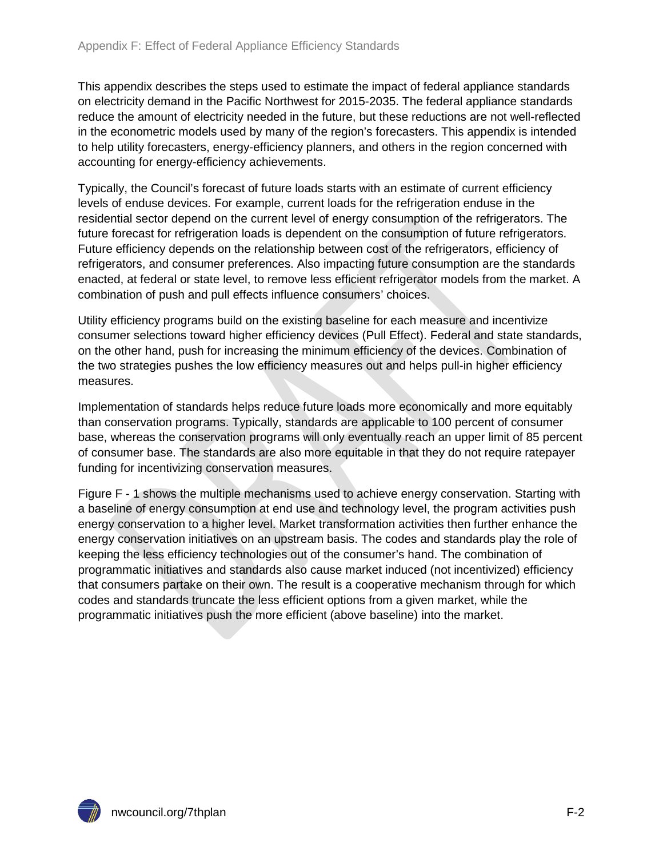This appendix describes the steps used to estimate the impact of federal appliance standards on electricity demand in the Pacific Northwest for 2015-2035. The federal appliance standards reduce the amount of electricity needed in the future, but these reductions are not well-reflected in the econometric models used by many of the region's forecasters. This appendix is intended to help utility forecasters, energy-efficiency planners, and others in the region concerned with accounting for energy-efficiency achievements.

Typically, the Council's forecast of future loads starts with an estimate of current efficiency levels of enduse devices. For example, current loads for the refrigeration enduse in the residential sector depend on the current level of energy consumption of the refrigerators. The future forecast for refrigeration loads is dependent on the consumption of future refrigerators. Future efficiency depends on the relationship between cost of the refrigerators, efficiency of refrigerators, and consumer preferences. Also impacting future consumption are the standards enacted, at federal or state level, to remove less efficient refrigerator models from the market. A combination of push and pull effects influence consumers' choices.

Utility efficiency programs build on the existing baseline for each measure and incentivize consumer selections toward higher efficiency devices (Pull Effect). Federal and state standards, on the other hand, push for increasing the minimum efficiency of the devices. Combination of the two strategies pushes the low efficiency measures out and helps pull-in higher efficiency measures.

Implementation of standards helps reduce future loads more economically and more equitably than conservation programs. Typically, standards are applicable to 100 percent of consumer base, whereas the conservation programs will only eventually reach an upper limit of 85 percent of consumer base. The standards are also more equitable in that they do not require ratepayer funding for incentivizing conservation measures.

Figure F - 1 shows the multiple mechanisms used to achieve energy conservation. Starting with a baseline of energy consumption at end use and technology level, the program activities push energy conservation to a higher level. Market transformation activities then further enhance the energy conservation initiatives on an upstream basis. The codes and standards play the role of keeping the less efficiency technologies out of the consumer's hand. The combination of programmatic initiatives and standards also cause market induced (not incentivized) efficiency that consumers partake on their own. The result is a cooperative mechanism through for which codes and standards truncate the less efficient options from a given market, while the programmatic initiatives push the more efficient (above baseline) into the market.

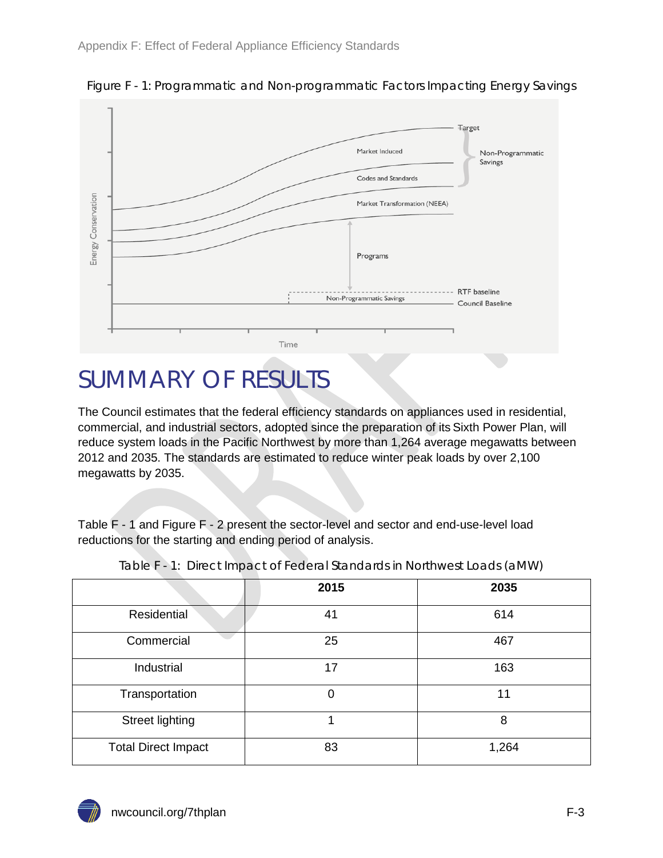

<span id="page-2-1"></span>Figure F - 1: Programmatic and Non-programmatic Factors Impacting Energy Savings

## <span id="page-2-0"></span>SUMMARY OF RESULTS

The Council estimates that the federal efficiency standards on appliances used in residential, commercial, and industrial sectors, adopted since the preparation of its Sixth Power Plan, will reduce system loads in the Pacific Northwest by more than 1,264 average megawatts between 2012 and 2035. The standards are estimated to reduce winter peak loads by over 2,100 megawatts by 2035.

Table F - 1 and Figure F - 2 present the sector-level and sector and end-use-level load reductions for the starting and ending period of analysis.

<span id="page-2-2"></span>

|                            | 2015 | 2035  |
|----------------------------|------|-------|
| Residential                | 41   | 614   |
| Commercial                 | 25   | 467   |
| Industrial                 | 17   | 163   |
| Transportation             | 0    | 11    |
| <b>Street lighting</b>     |      | 8     |
| <b>Total Direct Impact</b> | 83   | 1,264 |

|  |  |  |  | Table F - 1: Direct Impact of Federal Standards in Northwest Loads (aMW) |  |
|--|--|--|--|--------------------------------------------------------------------------|--|
|  |  |  |  |                                                                          |  |

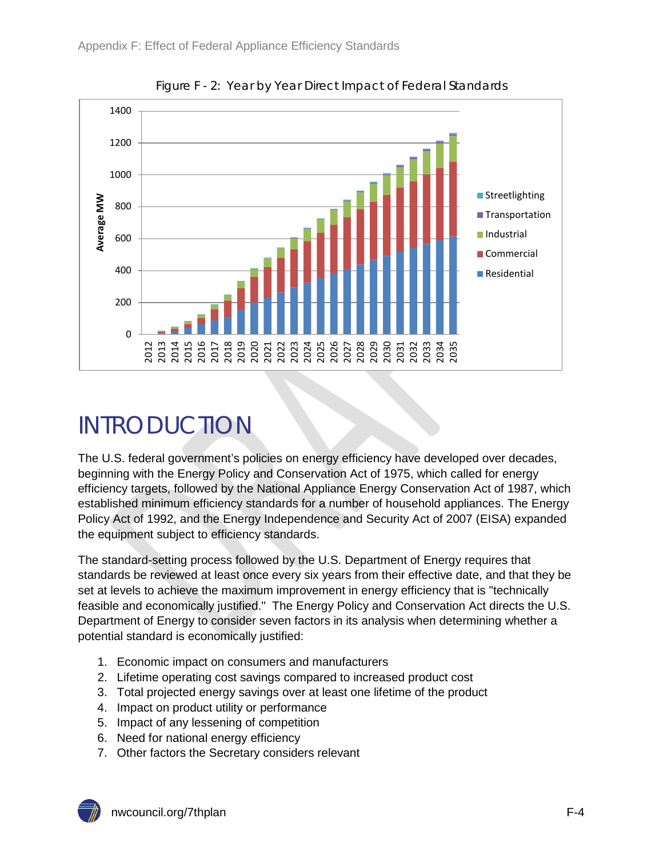<span id="page-3-1"></span>

Figure F - 2: Year by Year Direct Impact of Federal Standards

# <span id="page-3-0"></span>INTRODUCTION

The U.S. federal government's policies on energy efficiency have developed over decades, beginning with the Energy Policy and Conservation Act of 1975, which called for energy efficiency targets, followed by the National Appliance Energy Conservation Act of 1987, which established minimum efficiency standards for a number of household appliances. The Energy Policy Act of 1992, and the Energy Independence and Security Act of 2007 (EISA) expanded the equipment subject to efficiency standards.

The standard-setting process followed by the U.S. Department of Energy requires that standards be reviewed at least once every six years from their effective date, and that they be set at levels to achieve the maximum improvement in energy efficiency that is "technically feasible and economically justified." The Energy Policy and Conservation Act directs the U.S. Department of Energy to consider seven factors in its analysis when determining whether a potential standard is economically justified:

- 1. Economic impact on consumers and manufacturers
- 2. Lifetime operating cost savings compared to increased product cost
- 3. Total projected energy savings over at least one lifetime of the product
- 4. Impact on product utility or performance
- 5. Impact of any lessening of competition
- 6. Need for national energy efficiency
- 7. Other factors the Secretary considers relevant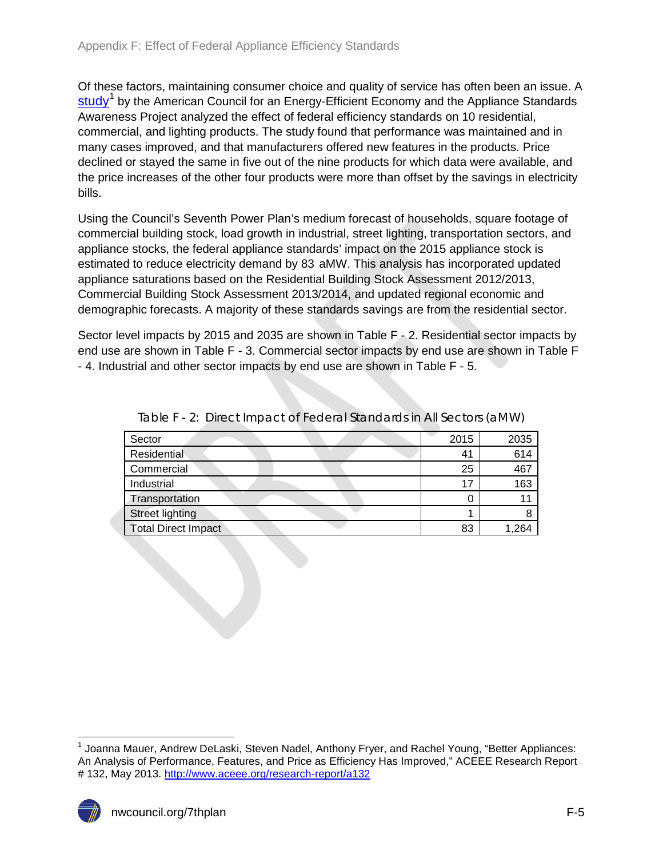Of these factors, maintaining consumer choice and quality of service has often been an issue. A [study](http://www.aceee.org/research-report/a132)<sup>[1](#page-0-0)</sup> by the American Council for an Energy-Efficient Economy and the Appliance Standards Awareness Project analyzed the effect of federal efficiency standards on 10 residential, commercial, and lighting products. The study found that performance was maintained and in many cases improved, and that manufacturers offered new features in the products. Price declined or stayed the same in five out of the nine products for which data were available, and the price increases of the other four products were more than offset by the savings in electricity bills.

Using the Council's Seventh Power Plan's medium forecast of households, square footage of commercial building stock, load growth in industrial, street lighting, transportation sectors, and appliance stocks, the federal appliance standards' impact on the 2015 appliance stock is estimated to reduce electricity demand by 83 aMW. This analysis has incorporated updated appliance saturations based on the Residential Building Stock Assessment 2012/2013, Commercial Building Stock Assessment 2013/2014, and updated regional economic and demographic forecasts. A majority of these standards savings are from the residential sector.

Sector level impacts by 2015 and 2035 are shown in Table F - 2. Residential sector impacts by end use are shown in Table F - 3. Commercial sector impacts by end use are shown in Table F - 4. Industrial and other sector impacts by end use are shown in Table F - 5.

<span id="page-4-0"></span>

| Sector                     | 2015 | 2035 |
|----------------------------|------|------|
| Residential                | 41   | 614  |
| Commercial                 | 25   | 467  |
| Industrial                 | 17   | 163  |
| Transportation             |      |      |
| <b>Street lighting</b>     |      |      |
| <b>Total Direct Impact</b> | 83   | .264 |

Table F - 2: Direct Impact of Federal Standards in All Sectors (aMW)

<span id="page-4-1"></span> $<sup>1</sup>$  Joanna Mauer, Andrew DeLaski, Steven Nadel, Anthony Fryer, and Rachel Young, "Better Appliances:</sup> An Analysis of Performance, Features, and Price as Efficiency Has Improved," ACEEE Research Report # 132, May 2013.<http://www.aceee.org/research-report/a132>

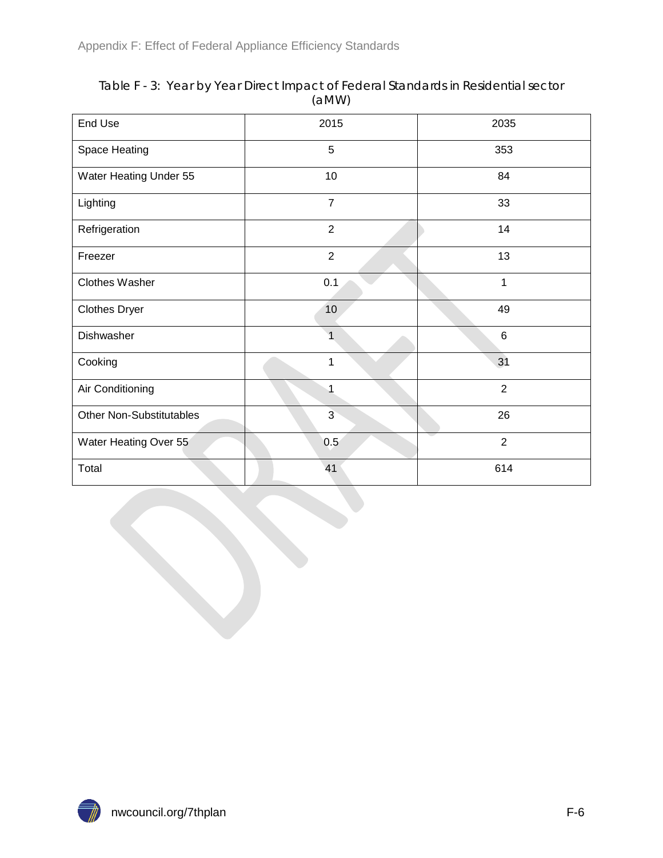<span id="page-5-0"></span>

| Table F - 3: Year by Year Direct Impact of Federal Standards in Residential sector |
|------------------------------------------------------------------------------------|
| (aMW)                                                                              |

| End Use                         | 2015           | 2035           |
|---------------------------------|----------------|----------------|
| Space Heating                   | 5              | 353            |
| Water Heating Under 55          | 10             | 84             |
| Lighting                        | $\overline{7}$ | 33             |
| Refrigeration                   | $\overline{2}$ | 14             |
| Freezer                         | $\overline{2}$ | 13             |
| <b>Clothes Washer</b>           | 0.1            | $\mathbf{1}$   |
| <b>Clothes Dryer</b>            | 10             | 49             |
| Dishwasher                      | 1              | $\,6$          |
| Cooking                         | 1              | 31             |
| Air Conditioning                | 1              | $\overline{2}$ |
| <b>Other Non-Substitutables</b> | $\overline{3}$ | 26             |
| Water Heating Over 55           | 0.5            | $\overline{2}$ |
| Total                           | 41             | 614            |

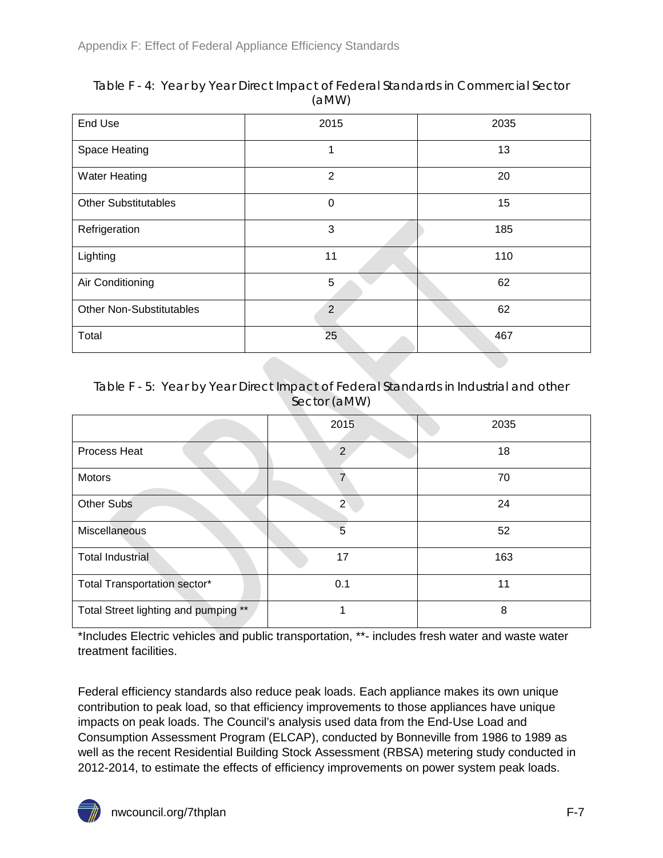| End Use                         | 2015           | 2035 |
|---------------------------------|----------------|------|
| Space Heating                   | 1              | 13   |
| <b>Water Heating</b>            | $\overline{2}$ | 20   |
| <b>Other Substitutables</b>     | $\Omega$       | 15   |
| Refrigeration                   | 3              | 185  |
| Lighting                        | 11             | 110  |
| Air Conditioning                | $\sqrt{5}$     | 62   |
| <b>Other Non-Substitutables</b> | $\overline{2}$ | 62   |
| Total                           | 25             | 467  |

#### <span id="page-6-0"></span>Table F - 4: Year by Year Direct Impact of Federal Standards in Commercial Sector (aMW)

<span id="page-6-1"></span>Table F - 5: Year by Year Direct Impact of Federal Standards in Industrial and other Sector (aMW)

|                                      | 2015           | 2035 |
|--------------------------------------|----------------|------|
| Process Heat                         | $\overline{2}$ | 18   |
| <b>Motors</b>                        |                | 70   |
| <b>Other Subs</b>                    | 2              | 24   |
| <b>Miscellaneous</b>                 | 5              | 52   |
| <b>Total Industrial</b>              | 17             | 163  |
| Total Transportation sector*         | 0.1            | 11   |
| Total Street lighting and pumping ** |                | 8    |

\*Includes Electric vehicles and public transportation, \*\*- includes fresh water and waste water treatment facilities.

Federal efficiency standards also reduce peak loads. Each appliance makes its own unique contribution to peak load, so that efficiency improvements to those appliances have unique impacts on peak loads. The Council's analysis used data from the End-Use Load and Consumption Assessment Program (ELCAP), conducted by Bonneville from 1986 to 1989 as well as the recent Residential Building Stock Assessment (RBSA) metering study conducted in 2012-2014, to estimate the effects of efficiency improvements on power system peak loads.

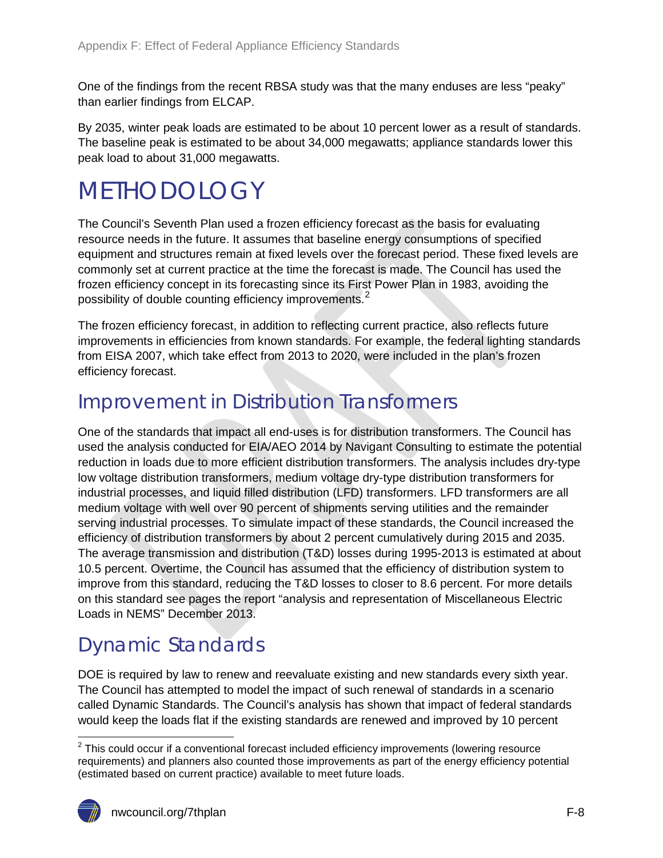One of the findings from the recent RBSA study was that the many enduses are less "peaky" than earlier findings from ELCAP.

By 2035, winter peak loads are estimated to be about 10 percent lower as a result of standards. The baseline peak is estimated to be about 34,000 megawatts; appliance standards lower this peak load to about 31,000 megawatts.

## <span id="page-7-0"></span>METHODOLOGY

The Council's Seventh Plan used a frozen efficiency forecast as the basis for evaluating resource needs in the future. It assumes that baseline energy consumptions of specified equipment and structures remain at fixed levels over the forecast period. These fixed levels are commonly set at current practice at the time the forecast is made. The Council has used the frozen efficiency concept in its forecasting since its First Power Plan in 1983, avoiding the possibility of double counting efficiency improvements.<sup>[2](#page-4-1)</sup>

The frozen efficiency forecast, in addition to reflecting current practice, also reflects future improvements in efficiencies from known standards. For example, the federal lighting standards from EISA 2007, which take effect from 2013 to 2020, were included in the plan's frozen efficiency forecast.

#### <span id="page-7-1"></span>Improvement in Distribution Transformers

One of the standards that impact all end-uses is for distribution transformers. The Council has used the analysis conducted for EIA/AEO 2014 by Navigant Consulting to estimate the potential reduction in loads due to more efficient distribution transformers. The analysis includes dry-type low voltage distribution transformers, medium voltage dry-type distribution transformers for industrial processes, and liquid filled distribution (LFD) transformers. LFD transformers are all medium voltage with well over 90 percent of shipments serving utilities and the remainder serving industrial processes. To simulate impact of these standards, the Council increased the efficiency of distribution transformers by about 2 percent cumulatively during 2015 and 2035. The average transmission and distribution (T&D) losses during 1995-2013 is estimated at about 10.5 percent. Overtime, the Council has assumed that the efficiency of distribution system to improve from this standard, reducing the T&D losses to closer to 8.6 percent. For more details on this standard see pages the report "analysis and representation of Miscellaneous Electric Loads in NEMS" December 2013.

### <span id="page-7-2"></span>Dynamic Standards

DOE is required by law to renew and reevaluate existing and new standards every sixth year. The Council has attempted to model the impact of such renewal of standards in a scenario called Dynamic Standards. The Council's analysis has shown that impact of federal standards would keep the loads flat if the existing standards are renewed and improved by 10 percent

 $2$  This could occur if a conventional forecast included efficiency improvements (lowering resource requirements) and planners also counted those improvements as part of the energy efficiency potential (estimated based on current practice) available to meet future loads.